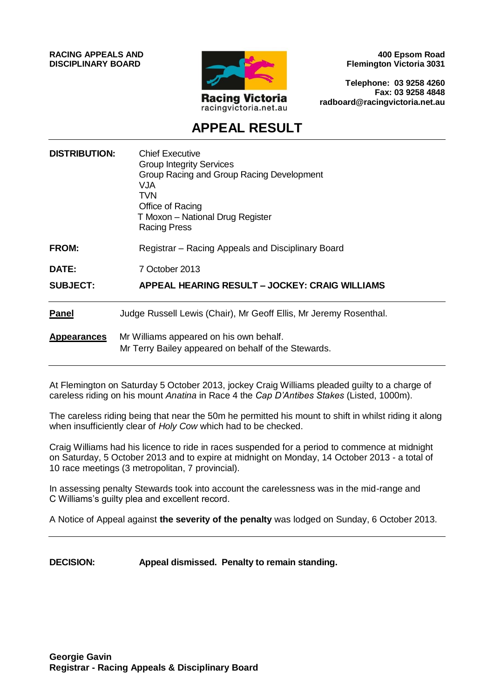**RACING APPEALS AND DISCIPLINARY BOARD**



**400 Epsom Road Flemington Victoria 3031**

**Telephone: 03 9258 4260 Fax: 03 9258 4848 radboard@racingvictoria.net.au**

# **APPEAL RESULT**

| <b>DISTRIBUTION:</b> | <b>Chief Executive</b><br><b>Group Integrity Services</b><br>Group Racing and Group Racing Development<br>VJA<br>TVN.<br>Office of Racing<br>T Moxon - National Drug Register<br><b>Racing Press</b> |
|----------------------|------------------------------------------------------------------------------------------------------------------------------------------------------------------------------------------------------|
| <b>FROM:</b>         | Registrar – Racing Appeals and Disciplinary Board                                                                                                                                                    |
| <b>DATE:</b>         | 7 October 2013                                                                                                                                                                                       |
| <b>SUBJECT:</b>      | APPEAL HEARING RESULT - JOCKEY: CRAIG WILLIAMS                                                                                                                                                       |
| <b>Panel</b>         | Judge Russell Lewis (Chair), Mr Geoff Ellis, Mr Jeremy Rosenthal.                                                                                                                                    |
| <b>Appearances</b>   | Mr Williams appeared on his own behalf.<br>Mr Terry Bailey appeared on behalf of the Stewards.                                                                                                       |

At Flemington on Saturday 5 October 2013, jockey Craig Williams pleaded guilty to a charge of careless riding on his mount *Anatina* in Race 4 the *Cap D'Antibes Stakes* (Listed, 1000m).

The careless riding being that near the 50m he permitted his mount to shift in whilst riding it along when insufficiently clear of *Holy Cow* which had to be checked.

Craig Williams had his licence to ride in races suspended for a period to commence at midnight on Saturday, 5 October 2013 and to expire at midnight on Monday, 14 October 2013 - a total of 10 race meetings (3 metropolitan, 7 provincial).

In assessing penalty Stewards took into account the carelessness was in the mid-range and C Williams's guilty plea and excellent record.

A Notice of Appeal against **the severity of the penalty** was lodged on Sunday, 6 October 2013.

**DECISION: Appeal dismissed. Penalty to remain standing.**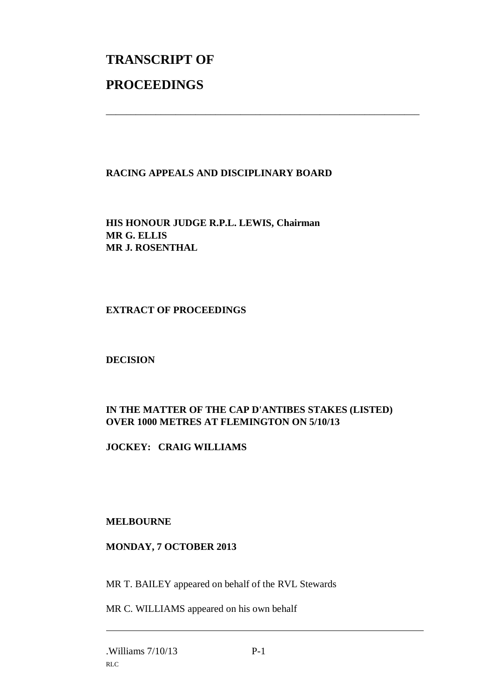# **TRANSCRIPT OF PROCEEDINGS**

# **RACING APPEALS AND DISCIPLINARY BOARD**

\_\_\_\_\_\_\_\_\_\_\_\_\_\_\_\_\_\_\_\_\_\_\_\_\_\_\_\_\_\_\_\_\_\_\_\_\_\_\_\_\_\_\_\_\_\_\_\_\_\_\_\_\_\_\_\_\_\_\_\_\_\_\_

**HIS HONOUR JUDGE R.P.L. LEWIS, Chairman MR G. ELLIS MR J. ROSENTHAL**

#### **EXTRACT OF PROCEEDINGS**

### **DECISION**

# **IN THE MATTER OF THE CAP D'ANTIBES STAKES (LISTED) OVER 1000 METRES AT FLEMINGTON ON 5/10/13**

### **JOCKEY: CRAIG WILLIAMS**

#### **MELBOURNE**

#### **MONDAY, 7 OCTOBER 2013**

MR T. BAILEY appeared on behalf of the RVL Stewards

MR C. WILLIAMS appeared on his own behalf